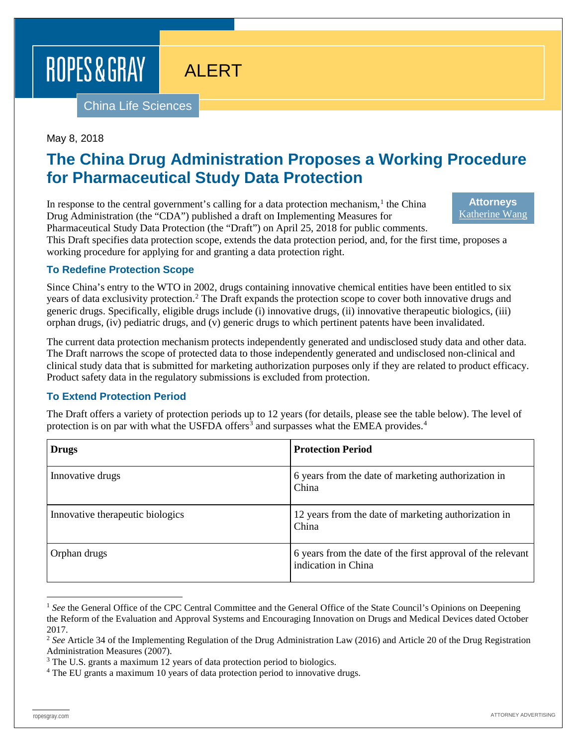ROPES & GRAY

# ALERT

China Life Sciences

#### May 8, 2018

# **The China Drug Administration Proposes a Working Procedure for Pharmaceutical Study Data Protection**

In response to the central government's calling for a data protection mechanism, $<sup>1</sup>$  $<sup>1</sup>$  $<sup>1</sup>$  the China</sup> Drug Administration (the "CDA") published a draft on Implementing Measures for Pharmaceutical Study Data Protection (the "Draft") on April 25, 2018 for public comments.

**Attorneys** [Katherine Wang](https://www.ropesgray.com/en/biographies/w/katherine-wang)

This Draft specifies data protection scope, extends the data protection period, and, for the first time, proposes a working procedure for applying for and granting a data protection right.

## **To Redefine Protection Scope**

Since China's entry to the WTO in 2002, drugs containing innovative chemical entities have been entitled to six years of data exclusivity protection[.2](#page-0-1) The Draft expands the protection scope to cover both innovative drugs and generic drugs. Specifically, eligible drugs include (i) innovative drugs, (ii) innovative therapeutic biologics, (iii) orphan drugs, (iv) pediatric drugs, and (v) generic drugs to which pertinent patents have been invalidated.

The current data protection mechanism protects independently generated and undisclosed study data and other data. The Draft narrows the scope of protected data to those independently generated and undisclosed non-clinical and clinical study data that is submitted for marketing authorization purposes only if they are related to product efficacy. Product safety data in the regulatory submissions is excluded from protection.

## **To Extend Protection Period**

The Draft offers a variety of protection periods up to 12 years (for details, please see the table below). The level of protection is on par with what the USFDA offers<sup>[3](#page-0-2)</sup> and surpasses what the EMEA provides.<sup>[4](#page-0-3)</sup>

| Drugs                            | <b>Protection Period</b>                                                           |
|----------------------------------|------------------------------------------------------------------------------------|
| Innovative drugs                 | 6 years from the date of marketing authorization in<br>China                       |
| Innovative therapeutic biologics | 12 years from the date of marketing authorization in<br>China                      |
| Orphan drugs                     | 6 years from the date of the first approval of the relevant<br>indication in China |

<span id="page-0-0"></span><sup>&</sup>lt;sup>1</sup> See the General Office of the CPC Central Committee and the General Office of the State Council's Opinions on Deepening the Reform of the Evaluation and Approval Systems and Encouraging Innovation on Drugs and Medical Devices dated October 2017.

<span id="page-0-1"></span><sup>&</sup>lt;sup>2</sup> See Article 34 of the Implementing Regulation of the Drug Administration Law (2016) and Article 20 of the Drug Registration Administration Measures (2007).

<span id="page-0-2"></span><sup>&</sup>lt;sup>3</sup> The U.S. grants a maximum 12 years of data protection period to biologics.

<span id="page-0-3"></span><sup>&</sup>lt;sup>4</sup> The EU grants a maximum 10 years of data protection period to innovative drugs.